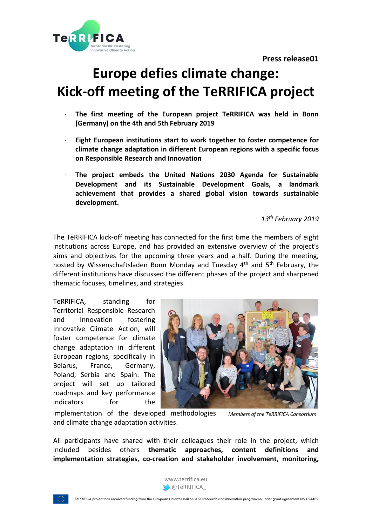**Press release01** 



# **Europe defies climate change: Kick-off meeting of the TeRRIFICA project**

- · **The first meeting of the European project TeRRIFICA was held in Bonn (Germany) on the 4th and 5th February 2019**
- · **Eight European institutions start to work together to foster competence for climate change adaptation in different European regions with a specific focus on Responsible Research and Innovation**
- · **The project embeds the United Nations 2030 Agenda for Sustainable Development and its Sustainable Development Goals, a landmark achievement that provides a shared global vision towards sustainable development.**

*13 th February 2019*

The TeRRIFICA kick-off meeting has connected for the first time the members of eight institutions across Europe, and has provided an extensive overview of the project's aims and objectives for the upcoming three years and a half. During the meeting, hosted by Wissenschaftsladen Bonn Monday and Tuesday 4<sup>th</sup> and 5<sup>th</sup> February, the different institutions have discussed the different phases of the project and sharpened thematic focuses, timelines, and strategies.

TeRRIFICA, standing for Territorial Responsible Research and Innovation fostering Innovative Climate Action, will foster competence for climate change adaptation in different European regions, specifically in Belarus, France, Germany, Poland, Serbia and Spain. The project will set up tailored roadmaps and key performance indicators for the



implementation of the developed methodologies and climate change adaptation activities. *Members of the TeRRIFICA Consortium*

All participants have shared with their colleagues their role in the project, which included besides others **thematic approaches, content definitions and implementation strategies**, **co-creation and stakeholder involvement**, **monitoring,** 



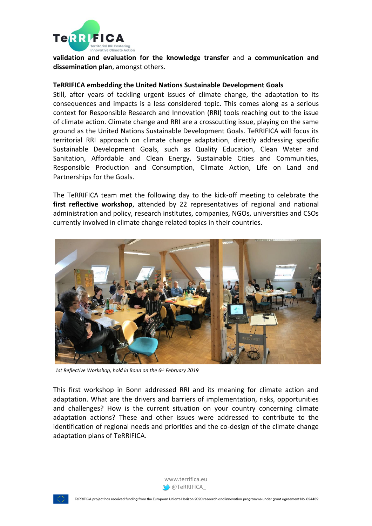

**validation and evaluation for the knowledge transfer** and a **communication and dissemination plan**, amongst others.

## **TeRRIFICA embedding the United Nations Sustainable Development Goals**

Still, after years of tackling urgent issues of climate change, the adaptation to its consequences and impacts is a less considered topic. This comes along as a serious context for Responsible Research and Innovation (RRI) tools reaching out to the issue of climate action. Climate change and RRI are a crosscutting issue, playing on the same ground as the United Nations Sustainable Development Goals. TeRRIFICA will focus its territorial RRI approach on climate change adaptation, directly addressing specific Sustainable Development Goals, such as Quality Education, Clean Water and Sanitation, Affordable and Clean Energy, Sustainable Cities and Communities, Responsible Production and Consumption, Climate Action, Life on Land and Partnerships for the Goals.

The TeRRIFICA team met the following day to the kick-off meeting to celebrate the **first reflective workshop**, attended by 22 representatives of regional and national administration and policy, research institutes, companies, NGOs, universities and CSOs currently involved in climate change related topics in their countries.



*1st Reflective Workshop, hold in Bonn on the 6th February 2019*

This first workshop in Bonn addressed RRI and its meaning for climate action and adaptation. What are the drivers and barriers of implementation, risks, opportunities and challenges? How is the current situation on your country concerning climate adaptation actions? These and other issues were addressed to contribute to the identification of regional needs and priorities and the co-design of the climate change adaptation plans of TeRRIFICA.